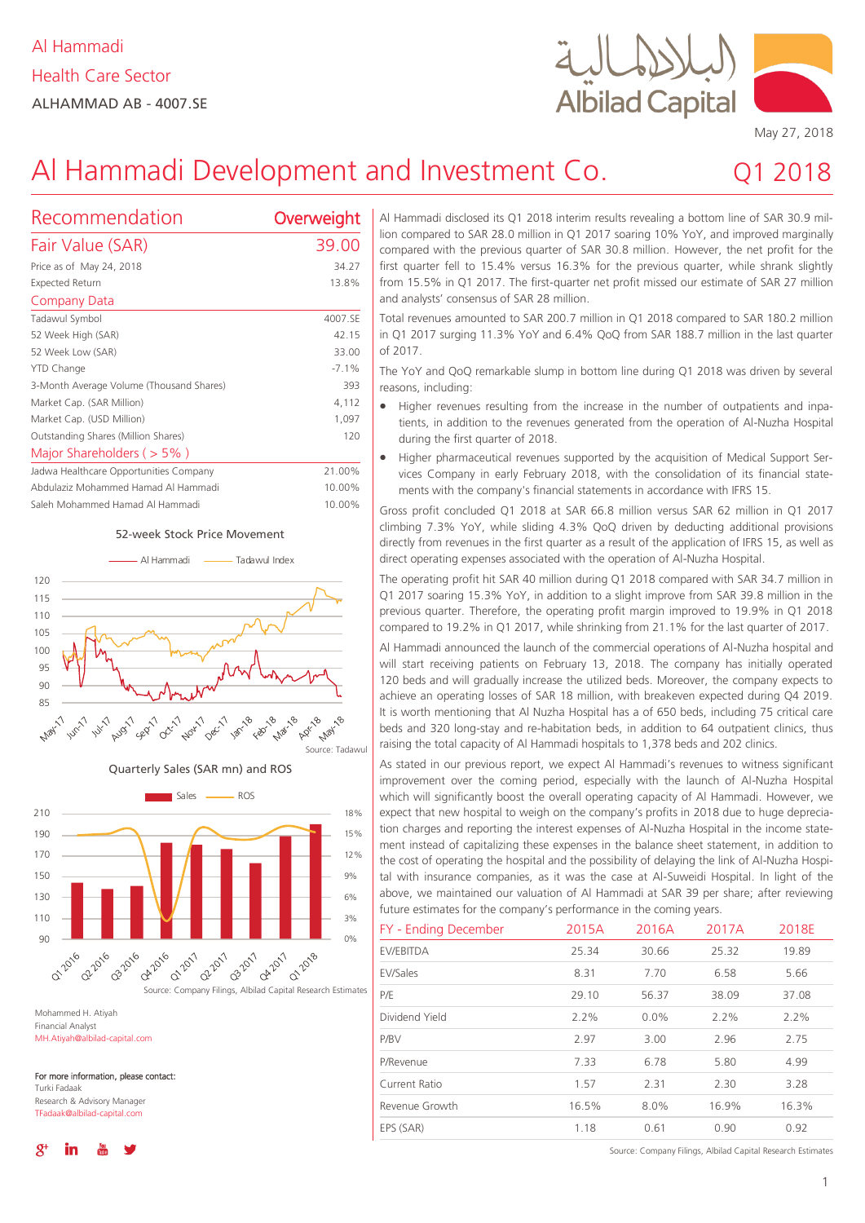

 $2018$ 

# Al Hammadi Development and Investment Co.

| Recommendation                           | Overweight |
|------------------------------------------|------------|
| Fair Value (SAR)                         | 39.00      |
| Price as of May 24, 2018                 | 34.27      |
| Expected Return                          | 13.8%      |
| Company Data                             |            |
| Tadawul Symbol                           | 4007.SE    |
| 52 Week High (SAR)                       | 42.15      |
| 52 Week Low (SAR)                        | 33.00      |
| YTD Change                               | $-7.1%$    |
| 3-Month Average Volume (Thousand Shares) | 393        |
| Market Cap. (SAR Million)                | 4,112      |
| Market Cap. (USD Million)                | 1,097      |
| Outstanding Shares (Million Shares)      | 120        |
| Major Shareholders ( $>$ 5%)             |            |
| Jadwa Healthcare Opportunities Company   | 21.00%     |
| Abdulaziz Mohammed Hamad Al Hammadi      | 10.00%     |

## Saleh Mohammed Hamad Al Hammadi 10.00% 52-week Stock Price Movement





Mohammed H. Atiyah Financial Analyst MH.Atiyah@albilad-capital.com

For more information, please contact: Turki Fadaak

Research & Advisory Manager TFadaak@albilad-capital.com

Al Hammadi disclosed its Q1 2018 interim results revealing a bottom line of SAR 30.9 million compared to SAR 28.0 million in Q1 2017 soaring 10% YoY, and improved marginally compared with the previous quarter of SAR 30.8 million. However, the net profit for the first quarter fell to 15.4% versus 16.3% for the previous quarter, while shrank slightly from 15.5% in Q1 2017. The first-quarter net profit missed our estimate of SAR 27 million and analysts' consensus of SAR 28 million.

Total revenues amounted to SAR 200.7 million in Q1 2018 compared to SAR 180.2 million in Q1 2017 surging 11.3% YoY and 6.4% QoQ from SAR 188.7 million in the last quarter of 2017.

The YoY and QoQ remarkable slump in bottom line during Q1 2018 was driven by several reasons, including:

- Higher revenues resulting from the increase in the number of outpatients and inpatients, in addition to the revenues generated from the operation of Al-Nuzha Hospital during the first quarter of 2018.
- Higher pharmaceutical revenues supported by the acquisition of Medical Support Services Company in early February 2018, with the consolidation of its financial statements with the company's financial statements in accordance with IFRS 15.

Gross profit concluded Q1 2018 at SAR 66.8 million versus SAR 62 million in Q1 2017 climbing 7.3% YoY, while sliding 4.3% QoQ driven by deducting additional provisions directly from revenues in the first quarter as a result of the application of IFRS 15, as well as direct operating expenses associated with the operation of Al-Nuzha Hospital.

The operating profit hit SAR 40 million during Q1 2018 compared with SAR 34.7 million in Q1 2017 soaring 15.3% YoY, in addition to a slight improve from SAR 39.8 million in the previous quarter. Therefore, the operating profit margin improved to 19.9% in Q1 2018 compared to 19.2% in Q1 2017, while shrinking from 21.1% for the last quarter of 2017.

Al Hammadi announced the launch of the commercial operations of Al-Nuzha hospital and will start receiving patients on February 13, 2018. The company has initially operated 120 beds and will gradually increase the utilized beds. Moreover, the company expects to achieve an operating losses of SAR 18 million, with breakeven expected during Q4 2019. It is worth mentioning that Al Nuzha Hospital has a of 650 beds, including 75 critical care beds and 320 long-stay and re-habitation beds, in addition to 64 outpatient clinics, thus raising the total capacity of Al Hammadi hospitals to 1,378 beds and 202 clinics.

As stated in our previous report, we expect Al Hammadi's revenues to witness significant improvement over the coming period, especially with the launch of Al-Nuzha Hospital which will significantly boost the overall operating capacity of Al Hammadi. However, we expect that new hospital to weigh on the company's profits in 2018 due to huge depreciation charges and reporting the interest expenses of Al-Nuzha Hospital in the income statement instead of capitalizing these expenses in the balance sheet statement, in addition to the cost of operating the hospital and the possibility of delaying the link of Al-Nuzha Hospital with insurance companies, as it was the case at Al-Suweidi Hospital. In light of the above, we maintained our valuation of Al Hammadi at SAR 39 per share; after reviewing future estimates for the company's performance in the coming years.

| FY - Ending December | 2015A | 2016A   | 2017A | 2018E |
|----------------------|-------|---------|-------|-------|
| EV/EBITDA            | 25.34 | 30.66   | 25.32 | 19.89 |
| EV/Sales             | 8.31  | 7.70    | 6.58  | 5.66  |
| P/E                  | 29.10 | 56.37   | 38.09 | 37.08 |
| Dividend Yield       | 2.2%  | $0.0\%$ | 2.2%  | 2.2%  |
| P/BV                 | 2.97  | 3.00    | 2.96  | 2.75  |
| P/Revenue            | 7.33  | 6.78    | 5.80  | 4.99  |
| Current Ratio        | 1.57  | 2.31    | 2.30  | 3.28  |
| Revenue Growth       | 16.5% | 8.0%    | 16.9% | 16.3% |
| EPS (SAR)            | 1.18  | 0.61    | 0.90  | 0.92  |

Source: Company Filings, Albilad Capital Research Estimates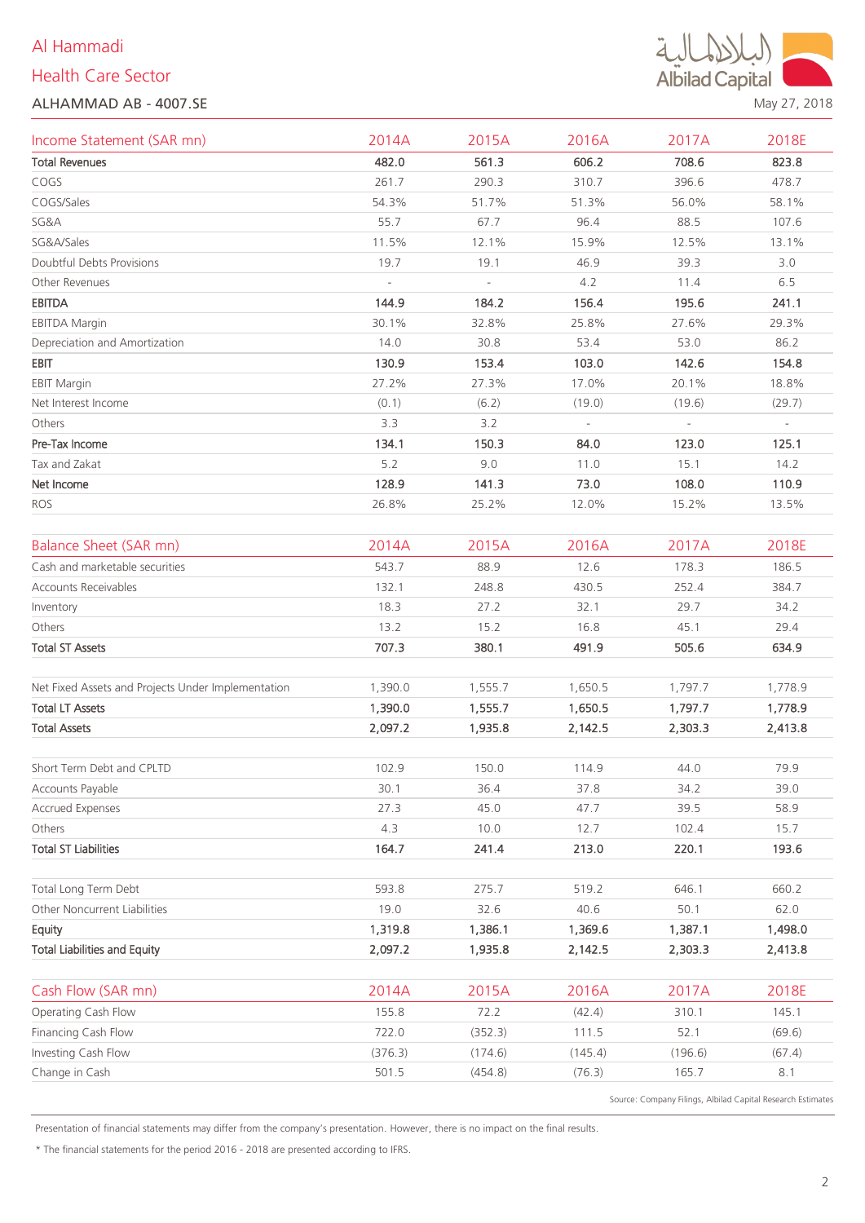# Al Hammadi

# Health Care Sector





May 27, 2018

| Income Statement (SAR mn)                          | 2014A   | 2015A                    | 2016A   | 2017A                    | 2018E   |
|----------------------------------------------------|---------|--------------------------|---------|--------------------------|---------|
| <b>Total Revenues</b>                              | 482.0   | 561.3                    | 606.2   | 708.6                    | 823.8   |
| COGS                                               | 261.7   | 290.3                    | 310.7   | 396.6                    | 478.7   |
| COGS/Sales                                         | 54.3%   | 51.7%                    | 51.3%   | 56.0%                    | 58.1%   |
| SG&A                                               | 55.7    | 67.7                     | 96.4    | 88.5                     | 107.6   |
| SG&A/Sales                                         | 11.5%   | 12.1%                    | 15.9%   | 12.5%                    | 13.1%   |
| Doubtful Debts Provisions                          | 19.7    | 19.1                     | 46.9    | 39.3                     | 3.0     |
| Other Revenues                                     |         | $\overline{\phantom{a}}$ | 4.2     | 11.4                     | 6.5     |
| <b>EBITDA</b>                                      | 144.9   | 184.2                    | 156.4   | 195.6                    | 241.1   |
| <b>EBITDA Margin</b>                               | 30.1%   | 32.8%                    | 25.8%   | 27.6%                    | 29.3%   |
| Depreciation and Amortization                      | 14.0    | 30.8                     | 53.4    | 53.0                     | 86.2    |
| EBIT                                               | 130.9   | 153.4                    | 103.0   | 142.6                    | 154.8   |
| <b>EBIT Margin</b>                                 | 27.2%   | 27.3%                    | 17.0%   | 20.1%                    | 18.8%   |
| Net Interest Income                                | (0.1)   | (6.2)                    | (19.0)  | (19.6)                   | (29.7)  |
| Others                                             | 3.3     | 3.2                      | $\sim$  | $\overline{\phantom{a}}$ | $\sim$  |
| Pre-Tax Income                                     | 134.1   | 150.3                    | 84.0    | 123.0                    | 125.1   |
| Tax and Zakat                                      | 5.2     | 9.0                      | 11.0    | 15.1                     | 14.2    |
| Net Income                                         | 128.9   | 141.3                    | 73.0    | 108.0                    | 110.9   |
| ROS                                                | 26.8%   | 25.2%                    | 12.0%   | 15.2%                    | 13.5%   |
|                                                    |         |                          |         |                          |         |
| <b>Balance Sheet (SAR mn)</b>                      | 2014A   | 2015A                    | 2016A   | 2017A                    | 2018E   |
| Cash and marketable securities                     | 543.7   | 88.9                     | 12.6    | 178.3                    | 186.5   |
| Accounts Receivables                               | 132.1   | 248.8                    | 430.5   | 252.4                    | 384.7   |
| Inventory                                          | 18.3    | 27.2                     | 32.1    | 29.7                     | 34.2    |
| Others                                             | 13.2    | 15.2                     | 16.8    | 45.1                     | 29.4    |
| <b>Total ST Assets</b>                             | 707.3   | 380.1                    | 491.9   | 505.6                    | 634.9   |
|                                                    |         |                          |         |                          |         |
| Net Fixed Assets and Projects Under Implementation | 1,390.0 | 1,555.7                  | 1,650.5 | 1,797.7                  | 1,778.9 |
| <b>Total LT Assets</b>                             | 1,390.0 | 1,555.7                  | 1,650.5 | 1,797.7                  | 1,778.9 |
| <b>Total Assets</b>                                | 2,097.2 | 1,935.8                  | 2,142.5 | 2,303.3                  | 2,413.8 |
|                                                    |         |                          |         |                          |         |
| Short Term Debt and CPLTD                          | 102.9   | 150.0                    | 114.9   | 44.0                     | 79.9    |
| Accounts Payable                                   | 30.1    | 36.4                     | 37.8    | 34.2                     | 39.0    |
| <b>Accrued Expenses</b>                            | 27.3    | 45.0                     | 47.7    | 39.5                     | 58.9    |
| Others                                             | 4.3     | 10.0                     | 12.7    | 102.4                    | 15.7    |
| <b>Total ST Liabilities</b>                        | 164.7   | 241.4                    | 213.0   | 220.1                    | 193.6   |
|                                                    |         |                          |         |                          |         |
| Total Long Term Debt                               | 593.8   | 275.7                    | 519.2   | 646.1                    | 660.2   |
| Other Noncurrent Liabilities                       | 19.0    | 32.6                     | 40.6    | 50.1                     | 62.0    |
| Equity                                             | 1,319.8 | 1,386.1                  | 1,369.6 | 1,387.1                  | 1,498.0 |
| <b>Total Liabilities and Equity</b>                | 2,097.2 | 1,935.8                  | 2,142.5 | 2,303.3                  | 2,413.8 |
|                                                    |         |                          |         |                          |         |
| Cash Flow (SAR mn)                                 | 2014A   | 2015A                    | 2016A   | 2017A                    | 2018E   |
| Operating Cash Flow                                | 155.8   | 72.2                     | (42.4)  | 310.1                    | 145.1   |
| Financing Cash Flow                                | 722.0   | (352.3)                  | 111.5   | 52.1                     | (69.6)  |
| Investing Cash Flow                                | (376.3) | (174.6)                  | (145.4) | (196.6)                  | (67.4)  |
| Change in Cash                                     | 501.5   | (454.8)                  | (76.3)  | 165.7                    | 8.1     |

Source: Company Filings, Albilad Capital Research Estimates

Presentation of financial statements may differ from the company's presentation. However, there is no impact on the final results.

\* The financial statements for the period 2016 - 2018 are presented according to IFRS.